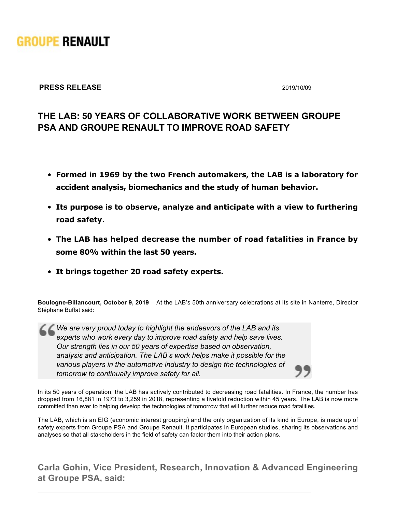

## **PRESS RELEASE** 2019/10/09

## **THE LAB: 50 YEARS OF COLLABORATIVE WORK BETWEEN GROUPE PSA AND GROUPE RENAULT TO IMPROVE ROAD SAFETY**

- **Formed in 1969 by the two French automakers, the LAB is a laboratory for accident analysis, biomechanics and the study of human behavior.**
- **Its purpose is to observe, analyze and anticipate with a view to furthering road safety.**
- **The LAB has helped decrease the number of road fatalities in France by some 80% within the last 50 years.**
- **It brings together 20 road safety experts.**

**Boulogne-Billancourt, October 9, 2019** – At the LAB's 50th anniversary celebrations at its site in Nanterre, Director Stéphane Buffat said:

*We are very proud today to highlight the endeavors of the LAB and its experts who work every day to improve road safety and help save lives. Our strength lies in our 50 years of expertise based on observation, analysis and anticipation. The LAB's work helps make it possible for the various players in the automotive industry to design the technologies of tomorrow to continually improve safety for all.*

In its 50 years of operation, the LAB has actively contributed to decreasing road fatalities. In France, the number has dropped from 16,881 in 1973 to 3,259 in 2018, representing a fivefold reduction within 45 years. The LAB is now more committed than ever to helping develop the technologies of tomorrow that will further reduce road fatalities.

The LAB, which is an EIG (economic interest grouping) and the only organization of its kind in Europe, is made up of safety experts from Groupe PSA and Groupe Renault. It participates in European studies, sharing its observations and analyses so that all stakeholders in the field of safety can factor them into their action plans.

**Carla Gohin, Vice President, Research, Innovation & Advanced Engineering at Groupe PSA, said:**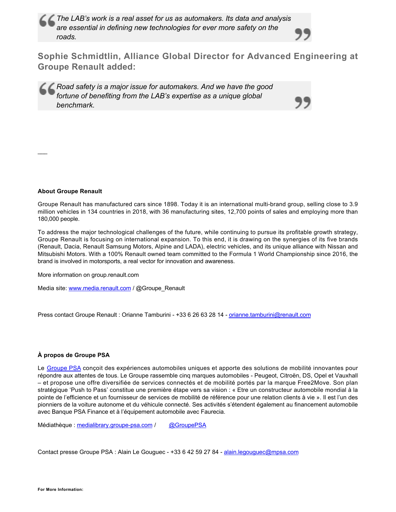*The LAB's work is a real asset for us as automakers. Its data and analysis are essential in defining new technologies for ever more safety on the roads.*

**Sophie Schmidtlin, Alliance Global Director for Advanced Engineering at Groupe Renault added:**

*Road safety is a major issue for automakers. And we have the good fortune of benefiting from the LAB's expertise as a unique global benchmark.*

## **About Groupe Renault**

 $\overline{\phantom{a}}$ 

Groupe Renault has manufactured cars since 1898. Today it is an international multi-brand group, selling close to 3.9 million vehicles in 134 countries in 2018, with 36 manufacturing sites, 12,700 points of sales and employing more than 180,000 people.

To address the major technological challenges of the future, while continuing to pursue its profitable growth strategy, Groupe Renault is focusing on international expansion. To this end, it is drawing on the synergies of its five brands (Renault, Dacia, Renault Samsung Motors, Alpine and LADA), electric vehicles, and its unique alliance with Nissan and Mitsubishi Motors. With a 100% Renault owned team committed to the Formula 1 World Championship since 2016, the brand is involved in motorsports, a real vector for innovation and awareness.

More information on group.renault.com

Media site: [www.media.renault.com](http://www.media.renault.com/) / @Groupe\_Renault

Press contact Groupe Renault : Orianne Tamburini - +33 6 26 63 28 14 - [orianne.tamburini@renault.com](mailto:orianne.tamburini@renault.com)

## **À propos de Groupe PSA**

Le [Groupe PSA](https://www.groupe-psa.com/fr) conçoit des expériences automobiles uniques et apporte des solutions de mobilité innovantes pour répondre aux attentes de tous. Le Groupe rassemble cinq marques automobiles - Peugeot, Citroën, DS, Opel et Vauxhall – et propose une offre diversifiée de services connectés et de mobilité portés par la marque Free2Move. Son plan stratégique 'Push to Pass' constitue une première étape vers sa vision : « Etre un constructeur automobile mondial à la pointe de l'efficience et un fournisseur de services de mobilité de référence pour une relation clients à vie ». Il est l'un des pionniers de la voiture autonome et du véhicule connecté. Ses activités s'étendent également au financement automobile avec Banque PSA Finance et à l'équipement automobile avec Faurecia.

Médiathèque : medialibrary.groupe-psa.com / [@GroupePSA](http://twitter.com/GroupePSA)

Contact presse Groupe PSA : Alain Le Gouguec - +33 6 42 59 27 84 - [alain.legouguec@mpsa.com](mailto:alain.legouguec@mpsa.com)